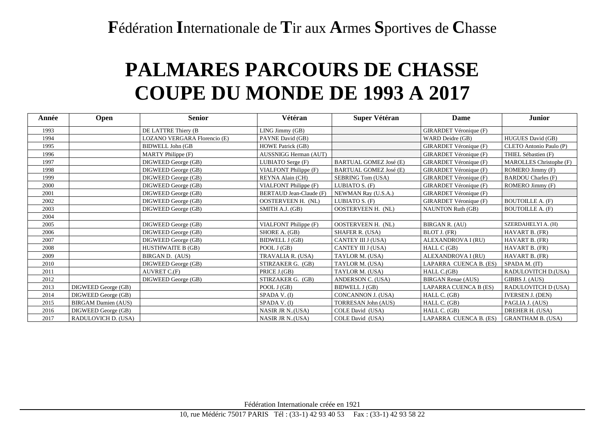**F**édération **I**nternationale de **T**ir aux **A**rmes **S**portives de **C**hasse

## **PALMARES PARCOURS DE CHASSE COUPE DU MONDE DE 1993 A 2017**

| Année | Open                       | <b>Senior</b>                | Vétéran                  | Super Vétéran                 | Dame                          | <b>Junior</b>             |
|-------|----------------------------|------------------------------|--------------------------|-------------------------------|-------------------------------|---------------------------|
| 1993  |                            | DE LATTRE Thiery (B          | LING Jimmy (GB)          |                               | GIRARDET Véronique (F)        |                           |
| 1994  |                            | LOZANO VERGARA Florencio (E) | PAYNE David (GB)         |                               | WARD Deidre (GB)              | <b>HUGUES David (GB)</b>  |
| 1995  |                            | <b>BIDWELL John (GB</b>      | <b>HOWE Patrick (GB)</b> |                               | GIRARDET Véronique (F)        | CLETO Antonio Paulo (P)   |
| 1996  |                            | <b>MARTY</b> Philippe (F)    | AUSSNIGG Herman (AUT)    |                               | GIRARDET Véronique (F)        | THIEL Sébastien (F)       |
| 1997  |                            | DIGWEED George (GB)          | LUBIATO Serge (F)        | <b>BARTUAL GOMEZ José (E)</b> | GIRARDET Véronique (F)        | MAROLLES Christophe (F)   |
| 1998  |                            | DIGWEED George (GB)          | VIALFONT Philippe (F)    | <b>BARTUAL GOMEZ José (E)</b> | GIRARDET Véronique (F)        | ROMERO Jimmy (F)          |
| 1999  |                            | DIGWEED George (GB)          | REYNA Alain (CH)         | <b>SEBRING Tom (USA)</b>      | <b>GIRARDET Véronique (F)</b> | <b>BARDOU Charles (F)</b> |
| 2000  |                            | DIGWEED George (GB)          | VIALFONT Philippe (F)    | LUBIATO S. (F)                | GIRARDET Véronique (F)        | ROMERO Jimmy (F)          |
| 2001  |                            | DIGWEED George (GB)          | BERTAUD Jean-Claude (F)  | NEWMAN Ray (U.S.A.)           | GIRARDET Véronique (F)        |                           |
| 2002  |                            | DIGWEED George (GB)          | OOSTERVEEN H. (NL)       | LUBIATO S. (F)                | GIRARDET Véronique (F)        | <b>BOUTOILLE A. (F)</b>   |
| 2003  |                            | DIGWEED George (GB)          | SMITH A.J. (GB)          | <b>OOSTERVEEN H. (NL)</b>     | <b>NAUNTON Ruth (GB)</b>      | <b>BOUTOILLE A. (F)</b>   |
| 2004  |                            |                              |                          |                               |                               |                           |
| 2005  |                            | DIGWEED George (GB)          | VIALFONT Philippe (F)    | <b>OOSTERVEEN H. (NL)</b>     | BIRGAN R. (AU)                | SZERDAHELYI A. (H)        |
| 2006  |                            | DIGWEED George (GB)          | SHORE A. (GB)            | <b>SHAFER R. (USA)</b>        | BLOT J. (FR)                  | HAVART B. (FR)            |
| 2007  |                            | DIGWEED George (GB)          | <b>BIDWELL J (GB)</b>    | CANTEY III J (USA)            | ALEXANDROVA I (RU)            | HAVART B. (FR)            |
| 2008  |                            | <b>HUSTHWAITE B (GB)</b>     | POOL J (GB)              | CANTEY III J (USA)            | HALL C (GB)                   | HAVART B. (FR)            |
| 2009  |                            | BIRGAN D. (AUS)              | TRAVALIA R. (USA)        | TAYLOR M. (USA)               | ALEXANDROVA I (RU)            | HAVART B. (FR)            |
| 2010  |                            | DIGWEED George (GB)          | STIRZAKER G. (GB)        | TAYLOR M. (USA)               | LAPARRA CUENCA B. (ES)        | SPADA M. (IT)             |
| 2011  |                            | AUVRET C.(F)                 | PRICE J.(GB)             | TAYLOR M. (USA)               | HALL C.(GB)                   | RADULOVITCH D.(USA)       |
| 2012  |                            | DIGWEED George (GB)          | STIRZAKER G. (GB)        | ANDERSON C. (USA)             | <b>BIRGAN Renae (AUS)</b>     | GIBBS J. (AUS)            |
| 2013  | DIGWEED George (GB)        |                              | POOL J (GB)              | <b>BIDWELL J (GB)</b>         | LAPARRA CUENCA B (ES)         | RADULOVITCH D (USA)       |
| 2014  | DIGWEED George (GB)        |                              | SPADA V. (I)             | CONCANNON J. (USA)            | HALL C. (GB)                  | <b>IVERSEN J. (DEN)</b>   |
| 2015  | <b>BIRGAM Damien (AUS)</b> |                              | SPADA V. (I)             | <b>TORRESAN John (AUS)</b>    | HALL C. (GB)                  | PAGLIA J. (AUS)           |
| 2016  | DIGWEED George (GB)        |                              | NASIR JR N(USA)          | COLE David (USA)              | HALL C. (GB)                  | DREHER H. (USA)           |
| 2017  | RADULOVICH D. (USA)        |                              | NASIR JR N(USA)          | COLE David (USA)              | LAPARRA CUENCA B. (ES)        | <b>GRANTHAM B. (USA)</b>  |